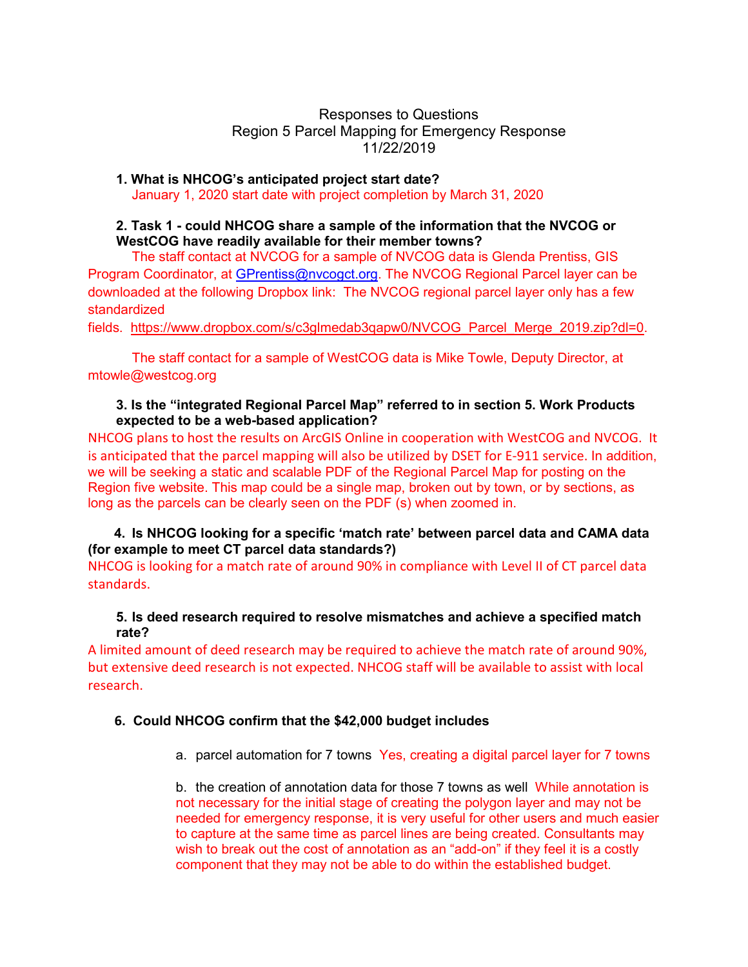Responses to Questions Region 5 Parcel Mapping for Emergency Response 11/22/2019

**1. What is NHCOG's anticipated project start date?** January 1, 2020 start date with project completion by March 31, 2020

## **2. Task 1 - could NHCOG share a sample of the information that the NVCOG or WestCOG have readily available for their member towns?**

The staff contact at NVCOG for a sample of NVCOG data is Glenda Prentiss, GIS Program Coordinator, at [GPrentiss@nvcogct.org.](mailto:GPrentiss@nvcogct.org) The NVCOG Regional Parcel layer can be downloaded at the following Dropbox link: The NVCOG regional parcel layer only has a few standardized

fields. [https://www.dropbox.com/s/c3glmedab3qapw0/NVCOG\\_Parcel\\_Merge\\_2019.zip?dl=0.](https://www.dropbox.com/s/c3glmedab3qapw0/NVCOG_Parcel_Merge_2019.zip?dl=0)

The staff contact for a sample of WestCOG data is Mike Towle, Deputy Director, at mtowle@westcog.org

#### **3. Is the "integrated Regional Parcel Map" referred to in section 5. Work Products expected to be a web-based application?**

NHCOG plans to host the results on ArcGIS Online in cooperation with WestCOG and NVCOG. It is anticipated that the parcel mapping will also be utilized by DSET for E-911 service. In addition, we will be seeking a static and scalable PDF of the Regional Parcel Map for posting on the Region five website. This map could be a single map, broken out by town, or by sections, as long as the parcels can be clearly seen on the PDF (s) when zoomed in.

# **4. Is NHCOG looking for a specific 'match rate' between parcel data and CAMA data (for example to meet CT parcel data standards?)**

NHCOG is looking for a match rate of around 90% in compliance with Level II of CT parcel data standards.

## **5. Is deed research required to resolve mismatches and achieve a specified match rate?**

A limited amount of deed research may be required to achieve the match rate of around 90%, but extensive deed research is not expected. NHCOG staff will be available to assist with local research.

## **6. Could NHCOG confirm that the \$42,000 budget includes**

a. parcel automation for 7 towns Yes, creating a digital parcel layer for 7 towns

b. the creation of annotation data for those 7 towns as well While annotation is not necessary for the initial stage of creating the polygon layer and may not be needed for emergency response, it is very useful for other users and much easier to capture at the same time as parcel lines are being created. Consultants may wish to break out the cost of annotation as an "add-on" if they feel it is a costly component that they may not be able to do within the established budget.